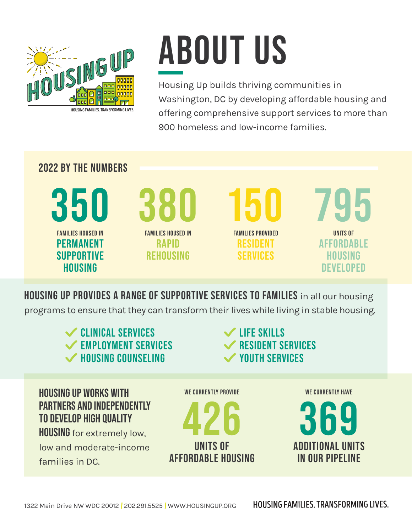

## **ABOUT US**

Housing Up builds thriving communities in Washington, DC by developing affordable housing and offering comprehensive support services to more than 900 homeless and low-income families.

## **2022 BY THE NUMBERS**

**350 FAMILIES HOUSED IN PERMANENT SUPPORTIVE HOUSING**

**380 FAMILIES HOUSED IN RAPID** 

**REHOUSING**

**150 FAMILIES PROVIDED RESIDENT SERVICES**

**795 UNITS OF AFFORDABLE HOUSING DEVELOPED**

**HOUSING UP PROVIDES A RANGE OF SUPPORTIVE SERVICES TO FAMILIES** in all our housing programs to ensure that they can transform their lives while living in stable housing.



families in DC.

**IN OUR PIPELINE**